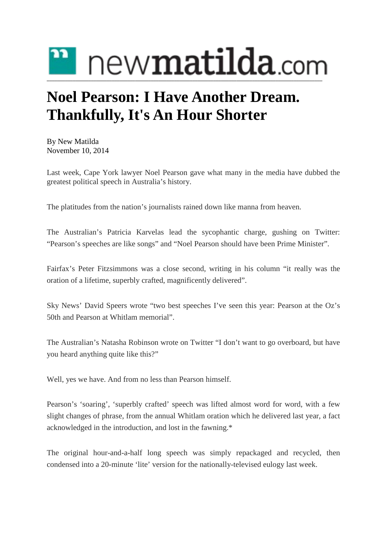

## **Noel Pearson: I Have Another Dream. Thankfully, It's An Hour Shorter**

By New [Matilda](https://newmatilda.com/author/new-matilda/) November 10, 2014

Last week, Cape York lawyer Noel Pearson gave what many in the media have dubbed the greatest political speech in Australia's history.

The platitudes from the nation's journalists rained down like manna from heaven.

The Australian's Patricia Karvelas lead the sycophantic charge, gushing on Twitter: "Pearson's speeches are like songs" and "Noel Pearson should have been Prime Minister".

Fairfax's Peter Fitzsimmons was a close second, writing in his column "it really was the oration of a lifetime, superbly crafted, magnificently delivered".

Sky News' David Speers wrote "two best speeches I've seen this year: Pearson at the Oz's 50th and Pearson at Whitlam memorial".

The Australian's Natasha Robinson wrote on Twitter "I don't want to go overboard, but have you heard anything quite like this?"

Well, yes we have. And from no less than Pearson himself.

Pearson's 'soaring', 'superbly crafted' speech was lifted almost word for word, with a few slight changes of phrase, from the annual Whitlam oration which he delivered last year, a fact acknowledged in the introduction, and lost in the fawning.\*

The original hour-and-a-half long speech was simply repackaged and recycled, then condensed into a 20-minute 'lite' version for the nationally-televised eulogy last week.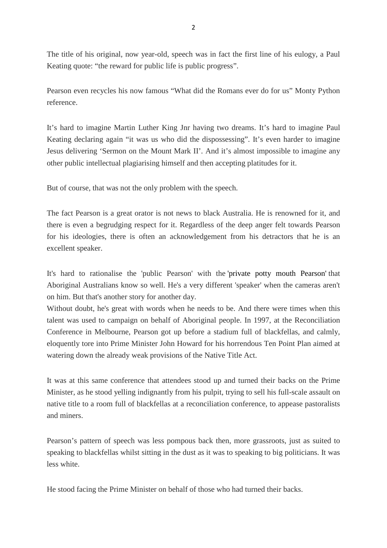The title of his original, now year-old, speech was in fact the first line of his eulogy, a Paul Keating quote: "the reward for public life is public progress".

Pearson even recycles his now famous "What did the Romans ever do for us" Monty Python reference.

It's hard to imagine Martin Luther King Jnr having two dreams. It's hard to imagine Paul Keating declaring again "it was us who did the dispossessing". It's even harder to imagine Jesus delivering 'Sermon on the Mount Mark II'. And it's almost impossible to imagine any other public intellectual plagiarising himself and then accepting platitudes for it.

But of course, that was not the only problem with the speech.

The fact Pearson is a great orator is not news to black Australia. He is renowned for it, and there is even a begrudging respect for it. Regardless of the deep anger felt towards Pearson for his ideologies, there is often an acknowledgement from his detractors that he is an excellent speaker.

It's hard to rationalise the 'public Pearson' with the 'private potty mouth Pearson' that Aboriginal Australians know so well. He's a very different 'speaker' when the cameras aren't on him. But that's another story for another day.

Without doubt, he's great with words when he needs to be. And there were times when this talent was used to campaign on behalf of Aboriginal people. In 1997, at the Reconciliation Conference in Melbourne, Pearson got up before a stadium full of blackfellas, and calmly, eloquently tore into Prime Minister John Howard for his horrendous Ten Point Plan aimed at watering down the already weak provisions of the Native Title Act.

It was at this same conference that attendees stood up and turned their backs on the Prime Minister, as he stood yelling indignantly from his pulpit, trying to sell his full-scale assault on native title to a room full of blackfellas at a reconciliation conference, to appease pastoralists and miners.

Pearson's pattern of speech was less pompous back then, more grassroots, just as suited to speaking to blackfellas whilst sitting in the dust as it was to speaking to big politicians. It was less white.

He stood facing the Prime Minister on behalf of those who had turned their backs.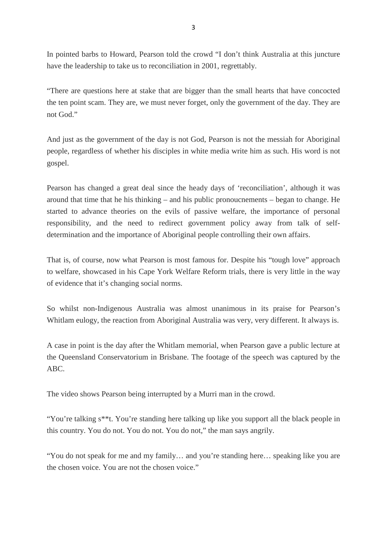In pointed barbs to Howard, Pearson told the crowd "I don't think Australia at this juncture have the leadership to take us to reconciliation in 2001, regrettably.

"There are questions here at stake that are bigger than the small hearts that have concocted the ten point scam. They are, we must never forget, only the government of the day. They are not God."

And just as the government of the day is not God, Pearson is not the messiah for Aboriginal people, regardless of whether his disciples in white media write him as such. His word is not gospel.

Pearson has changed a great deal since the heady days of 'reconciliation', although it was around that time that he his thinking – and his public pronoucnements – began to change. He started to advance theories on the evils of passive welfare, the importance of personal responsibility, and the need to redirect government policy away from talk of selfdetermination and the importance of Aboriginal people controlling their own affairs.

That is, of course, now what Pearson is most famous for. Despite his "tough love" approach to welfare, showcased in his Cape York Welfare Reform trials, there is very little in the way of evidence that it's changing social norms.

So whilst non-Indigenous Australia was almost unanimous in its praise for Pearson's Whitlam eulogy, the reaction from Aboriginal Australia was very, very different. It always is.

A case in point is the day after the Whitlam memorial, when Pearson gave a public lecture at the Queensland Conservatorium in Brisbane. The footage of the speech was captured by the ABC.

The video shows Pearson being interrupted by a Murri man in the crowd.

"You're talking s\*\*t. You're standing here talking up like you support all the black people in this country. You do not. You do not. You do not," the man says angrily.

"You do not speak for me and my family… and you're standing here… speaking like you are the chosen voice. You are not the chosen voice."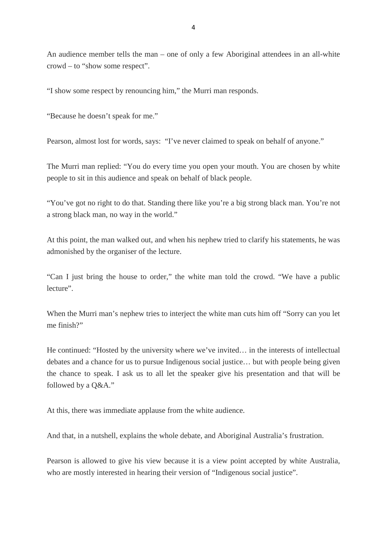An audience member tells the man – one of only a few Aboriginal attendees in an all-white crowd – to "show some respect".

"I show some respect by renouncing him," the Murri man responds.

"Because he doesn't speak for me."

Pearson, almost lost for words, says: "I've never claimed to speak on behalf of anyone."

The Murri man replied: "You do every time you open your mouth. You are chosen by white people to sit in this audience and speak on behalf of black people.

"You've got no right to do that. Standing there like you're a big strong black man. You're not a strong black man, no way in the world."

At this point, the man walked out, and when his nephew tried to clarify his statements, he was admonished by the organiser of the lecture.

"Can I just bring the house to order," the white man told the crowd. "We have a public lecture".

When the Murri man's nephew tries to interject the white man cuts him off "Sorry can you let me finish?"

He continued: "Hosted by the university where we've invited… in the interests of intellectual debates and a chance for us to pursue Indigenous social justice… but with people being given the chance to speak. I ask us to all let the speaker give his presentation and that will be followed by a Q&A."

At this, there was immediate applause from the white audience.

And that, in a nutshell, explains the whole debate, and Aboriginal Australia's frustration.

Pearson is allowed to give his view because it is a view point accepted by white Australia, who are mostly interested in hearing their version of "Indigenous social justice".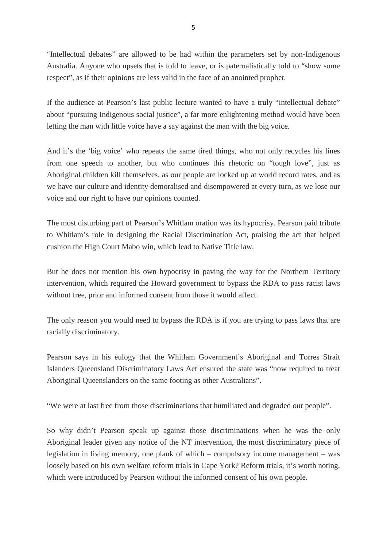"Intellectual debates" are allowed to be had within the parameters set by non-Indigenous Australia. Anyone who upsets that is told to leave, or is paternalistically told to "show some respect", as if their opinions are less valid in the face of an anointed prophet.

If the audience at Pearson's last public lecture wanted to have a truly "intellectual debate" about "pursuing Indigenous social justice", a far more enlightening method would have been letting the man with little voice have a say against the man with the big voice.

And it's the 'big voice' who repeats the same tired things, who not only recycles his lines from one speech to another, but who continues this rhetoric on "tough love", just as Aboriginal children kill themselves, as our people are locked up at world record rates, and as we have our culture and identity demoralised and disempowered at every turn, as we lose our voice and our right to have our opinions counted.

The most disturbing part of Pearson's Whitlam oration was its hypocrisy. Pearson paid tribute to Whitlam's role in designing the Racial Discrimination Act, praising the act that helped cushion the High Court Mabo win, which lead to Native Title law.

But he does not mention his own hypocrisy in paving the way for the Northern Territory intervention, which required the Howard government to bypass the RDA to pass racist laws without free, prior and informed consent from those it would affect.

The only reason you would need to bypass the RDA is if you are trying to pass laws that are racially discriminatory.

Pearson says in his eulogy that the Whitlam Government's Aboriginal and Torres Strait Islanders Queensland Discriminatory Laws Act ensured the state was "now required to treat Aboriginal Queenslanders on the same footing as other Australians".

"We were at last free from those discriminations that humiliated and degraded our people".

So why didn't Pearson speak up against those discriminations when he was the only Aboriginal leader given any notice of the NT intervention, the most discriminatory piece of legislation in living memory, one plank of which – compulsory income management – was loosely based on his own welfare reform trials in Cape York? Reform trials, it's worth noting, which were introduced by Pearson without the informed consent of his own people.